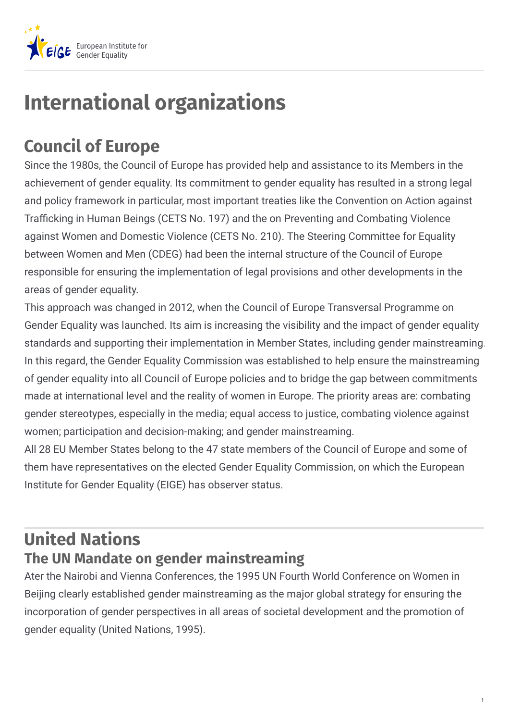

# **International organizations**

## **Council of Europe**

Since the 1980s, the Council of Europe has provided help and assistance to its Members in the achievement of gender equality. Its commitment to gender equality has resulted in a strong legal and policy framework in particular, most important treaties like the Convention on Action against Trafficking in Human Beings (CETS No. 197) and the on Preventing and Combating Violence against Women and Domestic Violence (CETS No. 210). The Steering Committee for Equality between Women and Men (CDEG) had been the internal structure of the Council of Europe responsible for ensuring the implementation of legal provisions and other developments in the areas of gender equality.

This approach was changed in 2012, when the Council of Europe Transversal Programme on Gender Equality was launched. Its aim is increasing the visibility and the impact of gender equality standards and supporting their implementation in Member States, including gender mainstreaming. In this regard, the Gender Equality Commission was established to help ensure the mainstreaming of gender equality into all Council of Europe policies and to bridge the gap between commitments made at international level and the reality of women in Europe. The priority areas are: combating gender stereotypes, especially in the media; equal access to justice, combating violence against women; participation and decision-making; and gender mainstreaming.

All 28 EU Member States belong to the 47 state members of the Council of Europe and some of them have representatives on the elected Gender Equality Commission, on which the European Institute for Gender Equality (EIGE) has observer status.

### **United Nations The UN Mandate on gender mainstreaming**

Ater the Nairobi and Vienna Conferences, the 1995 UN Fourth World Conference on Women in Beijing clearly established gender mainstreaming as the major global strategy for ensuring the incorporation of gender perspectives in all areas of societal development and the promotion of gender equality (United Nations, 1995).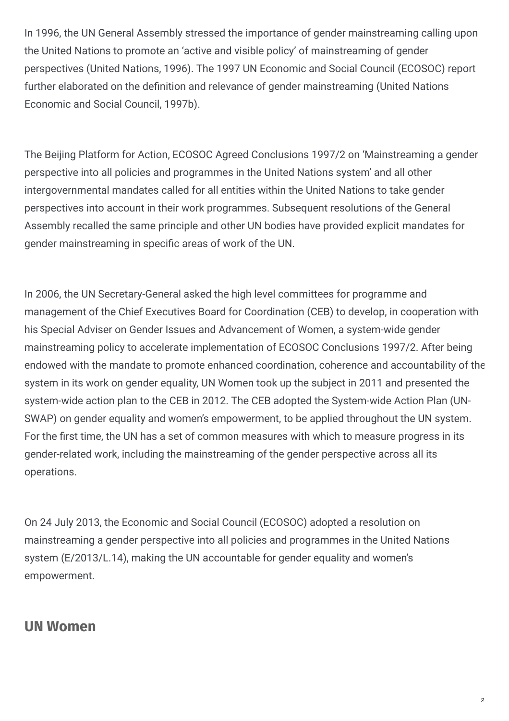In 1996, the UN General Assembly stressed the importance of gender mainstreaming calling upon the United Nations to promote an 'active and visible policy' of mainstreaming of gender perspectives (United Nations, 1996). The 1997 UN Economic and Social Council (ECOSOC) report further elaborated on the definition and relevance of gender mainstreaming (United Nations Economic and Social Council, 1997b).

The Beijing Platform for Action, ECOSOC Agreed Conclusions 1997/2 on 'Mainstreaming a gender perspective into all policies and programmes in the United Nations system' and all other intergovernmental mandates called for all entities within the United Nations to take gender perspectives into account in their work programmes. Subsequent resolutions of the General Assembly recalled the same principle and other UN bodies have provided explicit mandates for gender mainstreaming in specific areas of work of the UN.

In 2006, the UN Secretary-General asked the high level committees for programme and management of the Chief Executives Board for Coordination (CEB) to develop, in cooperation with his Special Adviser on Gender Issues and Advancement of Women, a system-wide gender mainstreaming policy to accelerate implementation of ECOSOC Conclusions 1997/2. After being endowed with the mandate to promote enhanced coordination, coherence and accountability of the system in its work on gender equality, UN Women took up the subject in 2011 and presented the system-wide action plan to the CEB in 2012. The CEB adopted the System-wide Action Plan (UN-SWAP) on gender equality and women's empowerment, to be applied throughout the UN system. For the first time, the UN has a set of common measures with which to measure progress in its gender-related work, including the mainstreaming of the gender perspective across all its operations.

On 24 July 2013, the Economic and Social Council (ECOSOC) adopted a resolution on mainstreaming a gender perspective into all policies and programmes in the United Nations system (E/2013/L.14), making the UN accountable for gender equality and women's empowerment.

### **UN Women**